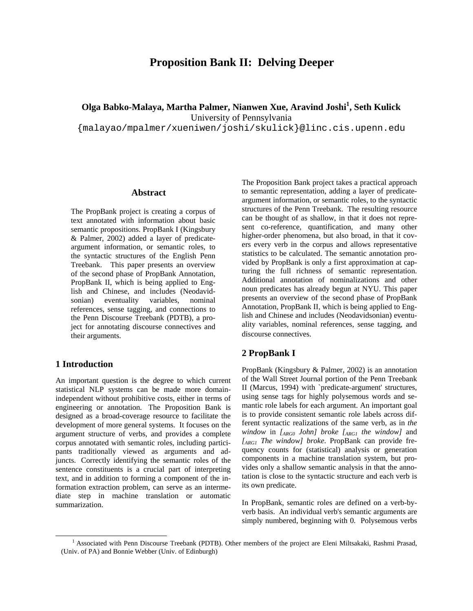# **Proposition Bank II: Delving Deeper**

**Olga Babko-Malaya, Martha Palmer, Nianwen Xue, Aravind Joshi<sup>1</sup> , Seth Kulick** 

University of Pennsylvania

{malayao/mpalmer/xueniwen/joshi/skulick}@linc.cis.upenn.edu

### **Abstract**

The PropBank project is creating a corpus of text annotated with information about basic semantic propositions. PropBank I (Kingsbury & Palmer, 2002) added a layer of predicateargument information, or semantic roles, to the syntactic structures of the English Penn Treebank. This paper presents an overview of the second phase of PropBank Annotation, PropBank II, which is being applied to English and Chinese, and includes (Neodavidsonian) eventuality variables, nominal references, sense tagging, and connections to the Penn Discourse Treebank (PDTB), a project for annotating discourse connectives and their arguments.

# **1 Introduction**

An important question is the degree to which current statistical NLP systems can be made more domainindependent without prohibitive costs, either in terms of engineering or annotation. The Proposition Bank is designed as a broad-coverage resource to facilitate the development of more general systems. It focuses on the argument structure of verbs, and provides a complete corpus annotated with semantic roles, including participants traditionally viewed as arguments and adjuncts. Correctly identifying the semantic roles of the sentence constituents is a crucial part of interpreting text, and in addition to forming a component of the information extraction problem, can serve as an intermediate step in machine translation or automatic summarization.

The Proposition Bank project takes a practical approach to semantic representation, adding a layer of predicateargument information, or semantic roles, to the syntactic structures of the Penn Treebank. The resulting resource can be thought of as shallow, in that it does not represent co-reference, quantification, and many other higher-order phenomena, but also broad, in that it covers every verb in the corpus and allows representative statistics to be calculated. The semantic annotation provided by PropBank is only a first approximation at capturing the full richness of semantic representation. Additional annotation of nominalizations and other noun predicates has already begun at NYU. This paper presents an overview of the second phase of PropBank Annotation, PropBank II, which is being applied to English and Chinese and includes (Neodavidsonian) eventuality variables, nominal references, sense tagging, and discourse connectives.

# **2 PropBank I**

PropBank (Kingsbury & Palmer, 2002) is an annotation of the Wall Street Journal portion of the Penn Treebank II (Marcus, 1994) with `predicate-argument' structures, using sense tags for highly polysemous words and semantic role labels for each argument. An important goal is to provide consistent semantic role labels across different syntactic realizations of the same verb, as in *the window* in *[ARG0 John] broke [ARG1 the window]* and *[ARG1 The window] broke*. PropBank can provide frequency counts for (statistical) analysis or generation components in a machine translation system, but provides only a shallow semantic analysis in that the annotation is close to the syntactic structure and each verb is its own predicate.

In PropBank, semantic roles are defined on a verb-byverb basis. An individual verb's semantic arguments are simply numbered, beginning with 0. Polysemous verbs

 $\overline{1}$ <sup>1</sup> Associated with Penn Discourse Treebank (PDTB). Other members of the project are Eleni Miltsakaki, Rashmi Prasad, (Univ. of PA) and Bonnie Webber (Univ. of Edinburgh)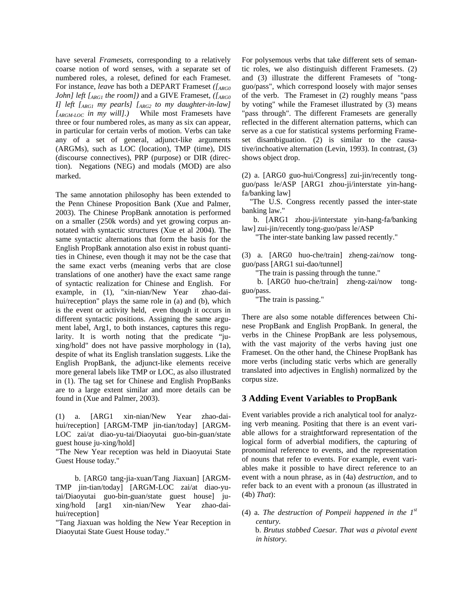have several *Framesets*, corresponding to a relatively coarse notion of word senses, with a separate set of numbered roles, a roleset, defined for each Frameset. For instance, *leave* has both a DEPART Frameset *([ARG0 John] left [ARG1 the room])* and a GIVE Frameset, *([ARG0 I] left [ARG1 my pearls] [ARG2 to my daughter-in-law] [ARGM-LOC in my will].)* While most Framesets have three or four numbered roles, as many as six can appear, in particular for certain verbs of motion. Verbs can take any of a set of general, adjunct-like arguments (ARGMs), such as LOC (location), TMP (time), DIS (discourse connectives), PRP (purpose) or DIR (direction). Negations (NEG) and modals (MOD) are also marked.

The same annotation philosophy has been extended to the Penn Chinese Proposition Bank (Xue and Palmer, 2003). The Chinese PropBank annotation is performed on a smaller (250k words) and yet growing corpus annotated with syntactic structures (Xue et al 2004). The same syntactic alternations that form the basis for the English PropBank annotation also exist in robust quantities in Chinese, even though it may not be the case that the same exact verbs (meaning verbs that are close translations of one another) have the exact same range of syntactic realization for Chinese and English. For example, in (1), "xin-nian/New Year zhao-daihui/reception" plays the same role in (a) and (b), which is the event or activity held, even though it occurs in different syntactic positions. Assigning the same argument label, Arg1, to both instances, captures this regularity. It is worth noting that the predicate "juxing/hold" does not have passive morphology in (1a), despite of what its English translation suggests. Like the English PropBank, the adjunct-like elements receive more general labels like TMP or LOC, as also illustrated in (1). The tag set for Chinese and English PropBanks are to a large extent similar and more details can be found in (Xue and Palmer, 2003).

(1) a. [ARG1 xin-nian/New Year zhao-daihui/reception] [ARGM-TMP jin-tian/today] [ARGM-LOC zai/at diao-yu-tai/Diaoyutai guo-bin-guan/state guest house ju-xing/hold]

"The New Year reception was held in Diaoyutai State Guest House today."

 b. [ARG0 tang-jia-xuan/Tang Jiaxuan] [ARGM-TMP jin-tian/today] [ARGM-LOC zai/at diao-yutai/Diaoyutai guo-bin-guan/state guest house] juxing/hold [arg1 xin-nian/New Year zhao-daihui/reception]

"Tang Jiaxuan was holding the New Year Reception in Diaoyutai State Guest House today."

For polysemous verbs that take different sets of semantic roles, we also distinguish different Framesets. (2) and (3) illustrate the different Framesets of "tongguo/pass", which correspond loosely with major senses of the verb. The Frameset in (2) roughly means "pass by voting" while the Frameset illustrated by (3) means "pass through". The different Framesets are generally reflected in the different alternation patterns, which can serve as a cue for statistical systems performing Frameset disambiguation. (2) is similar to the causative/inchoative alternation (Levin, 1993). In contrast, (3) shows object drop.

(2) a. [ARG0 guo-hui/Congress] zui-jin/recently tongguo/pass le/ASP [ARG1 zhou-ji/interstate yin-hangfa/banking law]

 "The U.S. Congress recently passed the inter-state banking law."

 b. [ARG1 zhou-ji/interstate yin-hang-fa/banking law] zui-jin/recently tong-guo/pass le/ASP

"The inter-state banking law passed recently."

(3) a. [ARG0 huo-che/train] zheng-zai/now tongguo/pass [ARG1 sui-dao/tunnel]

"The train is passing through the tunne."

 b. [ARG0 huo-che/train] zheng-zai/now tongguo/pass.

"The train is passing."

There are also some notable differences between Chinese PropBank and English PropBank. In general, the verbs in the Chinese PropBank are less polysemous, with the vast majority of the verbs having just one Frameset. On the other hand, the Chinese PropBank has more verbs (including static verbs which are generally translated into adjectives in English) normalized by the corpus size.

### **3 Adding Event Variables to PropBank**

Event variables provide a rich analytical tool for analyzing verb meaning. Positing that there is an event variable allows for a straightforward representation of the logical form of adverbial modifiers, the capturing of pronominal reference to events, and the representation of nouns that refer to events. For example, event variables make it possible to have direct reference to an event with a noun phrase, as in (4a) *destruction*, and to refer back to an event with a pronoun (as illustrated in (4b) *That*):

(4) a. *The destruction of Pompeii happened in the 1st century.* 

 b. *Brutus stabbed Caesar. That was a pivotal event in history.*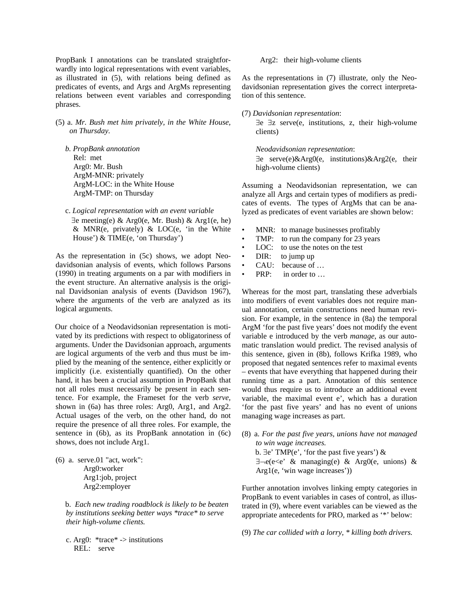PropBank I annotations can be translated straightforwardly into logical representations with event variables, as illustrated in (5), with relations being defined as predicates of events, and Args and ArgMs representing relations between event variables and corresponding phrases.

(5) a. *Mr. Bush met him privately, in the White House, on Thursday.* 

 *b. PropBank annotation* Rel: met Arg0: Mr. Bush ArgM-MNR: privately ArgM-LOC: in the White House ArgM-TMP: on Thursday

 c. *Logical representation with an event variable* ∃e meeting(e) & Arg0(e, Mr. Bush) & Arg1(e, he) & MNR(e, privately) & LOC(e, 'in the White House') & TIME(e, 'on Thursday')

As the representation in (5c) shows, we adopt Neodavidsonian analysis of events, which follows Parsons (1990) in treating arguments on a par with modifiers in the event structure. An alternative analysis is the original Davidsonian analysis of events (Davidson 1967), where the arguments of the verb are analyzed as its logical arguments.

Our choice of a Neodavidsonian representation is motivated by its predictions with respect to obligatoriness of arguments. Under the Davidsonian approach, arguments are logical arguments of the verb and thus must be implied by the meaning of the sentence, either explicitly or implicitly (i.e. existentially quantified). On the other hand, it has been a crucial assumption in PropBank that not all roles must necessarily be present in each sentence. For example, the Frameset for the verb *serve,* shown in (6a) has three roles: Arg0, Arg1, and Arg2. Actual usages of the verb, on the other hand, do not require the presence of all three roles. For example, the sentence in (6b), as its PropBank annotation in (6c) shows, does not include Arg1.

(6) a. serve.01 "act, work": Arg0:worker Arg1:job, project Arg2:employer

> b. *Each new trading roadblock is likely to be beaten by institutions seeking better ways \*trace\* to serve their high-volume clients.*

c. Arg $0:$  \*trace\* -> institutions REL: serve

Arg2: their high-volume clients

As the representations in (7) illustrate, only the Neodavidsonian representation gives the correct interpretation of this sentence.

(7) *Davidsonian representation*:

 ∃e ∃z serve(e, institutions, z, their high-volume clients)

*Neodavidsonian representation*: ∃e serve(e)&Arg0(e, institutions)&Arg2(e, their high-volume clients)

Assuming a Neodavidsonian representation, we can analyze all Args and certain types of modifiers as predicates of events. The types of ArgMs that can be analyzed as predicates of event variables are shown below:

- MNR: to manage businesses profitably
- TMP: to run the company for 23 years
- LOC: to use the notes on the test
- DIR: to jump up
- CAU: because of …
- PRP: in order to ...

Whereas for the most part, translating these adverbials into modifiers of event variables does not require manual annotation, certain constructions need human revision. For example, in the sentence in (8a) the temporal ArgM 'for the past five years' does not modify the event variable e introduced by the verb *manage*, as our automatic translation would predict. The revised analysis of this sentence, given in (8b), follows Krifka 1989, who proposed that negated sentences refer to maximal events – events that have everything that happened during their running time as a part. Annotation of this sentence would thus require us to introduce an additional event variable, the maximal event e', which has a duration 'for the past five years' and has no event of unions managing wage increases as part.

- (8) a. *For the past five years, unions have not managed to win wage increases.* b. ∃e' TMP(e', 'for the past five years') & ∃¬e(e<e' & managing(e) & Arg0(e, unions) &
	- Arg1(e, 'win wage increases'))

Further annotation involves linking empty categories in PropBank to event variables in cases of control, as illustrated in (9), where event variables can be viewed as the appropriate antecedents for PRO, marked as '\*' below:

(9) *The car collided with a lorry, \* killing both drivers.*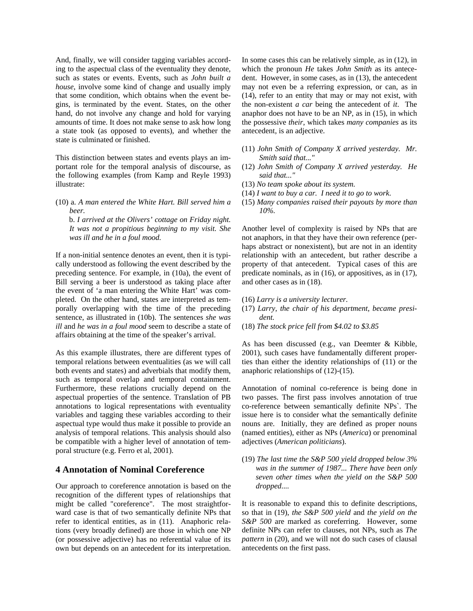And, finally, we will consider tagging variables according to the aspectual class of the eventuality they denote, such as states or events. Events, such as *John built a house*, involve some kind of change and usually imply that some condition, which obtains when the event begins, is terminated by the event. States, on the other hand, do not involve any change and hold for varying amounts of time. It does not make sense to ask how long a state took (as opposed to events), and whether the state is culminated or finished.

This distinction between states and events plays an important role for the temporal analysis of discourse, as the following examples (from Kamp and Reyle 1993) illustrate:

(10) a. *A man entered the White Hart. Bill served him a beer.* 

 b. *I arrived at the Olivers' cottage on Friday night. It was not a propitious beginning to my visit. She was ill and he in a foul mood.* 

If a non-initial sentence denotes an event, then it is typically understood as following the event described by the preceding sentence. For example, in (10a), the event of Bill serving a beer is understood as taking place after the event of 'a man entering the White Hart' was completed. On the other hand, states are interpreted as temporally overlapping with the time of the preceding sentence, as illustrated in (10b). The sentences *she was ill* and *he was in a foul mood* seem to describe a state of affairs obtaining at the time of the speaker's arrival.

As this example illustrates, there are different types of temporal relations between eventualities (as we will call both events and states) and adverbials that modify them, such as temporal overlap and temporal containment. Furthermore, these relations crucially depend on the aspectual properties of the sentence. Translation of PB annotations to logical representations with eventuality variables and tagging these variables according to their aspectual type would thus make it possible to provide an analysis of temporal relations. This analysis should also be compatible with a higher level of annotation of temporal structure (e.g. Ferro et al, 2001).

### **4 Annotation of Nominal Coreference**

Our approach to coreference annotation is based on the recognition of the different types of relationships that might be called "coreference". The most straightforward case is that of two semantically definite NPs that refer to identical entities, as in (11). Anaphoric relations (very broadly defined) are those in which one NP (or possessive adjective) has no referential value of its own but depends on an antecedent for its interpretation.

In some cases this can be relatively simple, as in (12), in which the pronoun *He* takes *John Smith* as its antecedent. However, in some cases, as in (13), the antecedent may not even be a referring expression, or can, as in (14), refer to an entity that may or may not exist, with the non-existent *a car* being the antecedent of *it*. The anaphor does not have to be an NP, as in (15), in which the possessive *their*, which takes *many companies* as its antecedent, is an adjective.

- (11) *John Smith of Company X arrived yesterday. Mr. Smith said that..."*
- (12) *John Smith of Company X arrived yesterday. He said that..."*
- (13) *No team spoke about its system.*
- (14) *I want to buy a car. I need it to go to work*.
- (15) *Many companies raised their payouts by more than 10%.*

Another level of complexity is raised by NPs that are not anaphors, in that they have their own reference (perhaps abstract or nonexistent), but are not in an identity relationship with an antecedent, but rather describe a property of that antecedent. Typical cases of this are predicate nominals, as in (16), or appositives, as in (17), and other cases as in (18).

- (16) *Larry is a university lecturer.*
- (17) *Larry, the chair of his department, became president.*
- (18) *The stock price fell from \$4.02 to \$3.85*

As has been discussed (e.g., van Deemter & Kibble, 2001), such cases have fundamentally different properties than either the identity relationships of (11) or the anaphoric relationships of (12)-(15).

Annotation of nominal co-reference is being done in two passes. The first pass involves annotation of true co-reference between semantically definite NPs`. The issue here is to consider what the semantically definite nouns are. Initially, they are defined as proper nouns (named entities), either as NPs (*America*) or prenominal adjectives (*American politicians*).

(19) *The last time the S&P 500 yield dropped below 3% was in the summer of 1987... There have been only seven other times when the yield on the S&P 500 dropped....* 

It is reasonable to expand this to definite descriptions, so that in (19), *the S&P 500 yield* and *the yield on the S&P 500* are marked as coreferring. However, some definite NPs can refer to clauses, not NPs, such as *The pattern* in (20), and we will not do such cases of clausal antecedents on the first pass.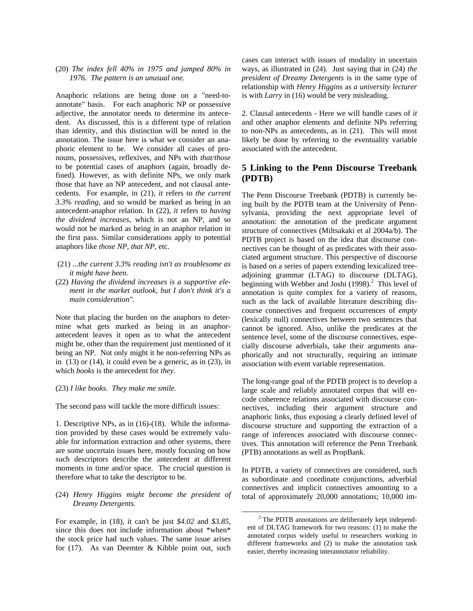#### (20) *The index fell 40% in 1975 and jumped 80% in 1976. The pattern is an unusual one.*

Anaphoric relations are being done on a "need-toannotate" basis. For each anaphoric NP or possessive adjective, the annotator needs to determine its antecedent. As discussed, this is a different type of relation than identity, and this distinction will be noted in the annotation. The issue here is what we consider an anaphoric element to be. We consider all cases of pronouns, possessives, reflexives, and NPs with *that/those* to be potential cases of anaphors (again, broadly defined). However, as with definite NPs, we only mark those that have an NP antecedent, and not clausal antecedents. For example, in (21), *it* refers to *the current 3.3% reading*, and so would be marked as being in an antecedent-anaphor relation. In (22), *it* refers to *having the dividend increases*, which is not an NP, and so would not be marked as being in an anaphor relation in the first pass. Similar considerations apply to potential anaphors like *those NP*, *that NP*, etc.

- (21) *...the current 3.3% reading isn't as troublesome as it might have been.*
- (22) *Having the dividend increases is a supportive element in the market outlook, but I don't think it's a main consideration".*

Note that placing the burden on the anaphors to determine what gets marked as being in an anaphorantecedent leaves it open as to what the antecedent might be, other than the requirement just mentioned of it being an NP. Not only might it be non-referring NPs as in  $(13)$  or  $(14)$ , it could even be a generic, as in  $(23)$ , in which *books* is the antecedent for *they*.

#### (23) *I like books. They make me smile.*

The second pass will tackle the more difficult issues:

1. Descriptive NPs, as in (16)-(18). While the information provided by these cases would be extremely valuable for information extraction and other systems, there are some uncertain issues here, mostly focusing on how such descriptors describe the antecedent at different moments in time and/or space. The crucial question is therefore what to take the descriptor to be.

#### (24) *Henry Higgins might become the president of Dreamy Detergents.*

For example, in (18), it can't be just *\$4.02* and *\$3.85,* since this does not include information about \*when\* the stock price had such values. The same issue arises for (17). As van Deemter & Kibble point out, such cases can interact with issues of modality in uncertain ways, as illustrated in (24). Just saying that in (24) *the president of Dreamy Detergents* is in the same type of relationship with *Henry Higgins* as *a university lecturer* is with *Larry* in (16) would be very misleading.

2. Clausal antecedents - Here we will handle cases of *it* and other anaphor elements and definite NPs referring to non-NPs as antecedents, as in (21). This will most likely be done by referring to the eventuality variable associated with the antecedent.

### **5 Linking to the Penn Discourse Treebank (PDTB)**

The Penn Discourse Treebank (PDTB) is currently being built by the PDTB team at the University of Pennsylvania, providing the next appropriate level of annotation: the annotation of the predicate argument structure of connectives (Miltsakaki et al 2004a/b). The PDTB project is based on the idea that discourse connectives can be thought of as predicates with their associated argument structure. This perspective of discourse is based on a series of papers extending lexicalized treeadjoining grammar (LTAG) to discourse (DLTAG), beginning with Webber and Joshi  $(1998)<sup>2</sup>$  This level of annotation is quite complex for a variety of reasons, such as the lack of available literature describing discourse connectives and frequent occurrences of *empty* (lexically null) connectives between two sentences that cannot be ignored. Also, unlike the predicates at the sentence level, some of the discourse connectives, especially discourse adverbials, take their arguments anaphorically and not structurally, requiring an intimate association with event variable representation.

The long-range goal of the PDTB project is to develop a large scale and reliably annotated corpus that will encode coherence relations associated with discourse connectives, including their argument structure and anaphoric links, thus exposing a clearly defined level of discourse structure and supporting the extraction of a range of inferences associated with discourse connectives. This annotation will reference the Penn Treebank (PTB) annotations as well as PropBank.

In PDTB, a variety of connectives are considered, such as subordinate and coordinate conjunctions, adverbial connectives and implicit connectives amounting to a total of approximately 20,000 annotations; 10,000 im-

 <sup>2</sup>  $2$  The PDTB annotations are deliberately kept independent of DLTAG framework for two reasons: (1) to make the annotated corpus widely useful to researchers working in different frameworks and (2) to make the annotation task easier, thereby increasing interannotator reliability.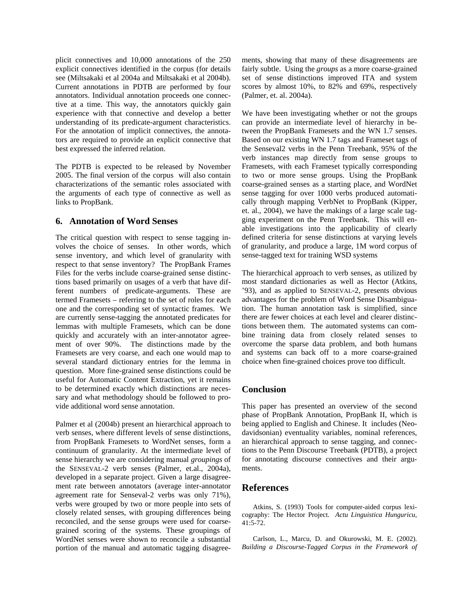plicit connectives and 10,000 annotations of the 250 explicit connectives identified in the corpus (for details see (Miltsakaki et al 2004a and Miltsakaki et al 2004b). Current annotations in PDTB are performed by four annotators. Individual annotation proceeds one connective at a time. This way, the annotators quickly gain experience with that connective and develop a better understanding of its predicate-argument characteristics. For the annotation of implicit connectives, the annotators are required to provide an explicit connective that best expressed the inferred relation.

The PDTB is expected to be released by November 2005. The final version of the corpus will also contain characterizations of the semantic roles associated with the arguments of each type of connective as well as links to PropBank.

### **6. Annotation of Word Senses**

The critical question with respect to sense tagging involves the choice of senses. In other words, which sense inventory, and which level of granularity with respect to that sense inventory? The PropBank Frames Files for the verbs include coarse-grained sense distinctions based primarily on usages of a verb that have different numbers of predicate-arguments. These are termed Framesets – referring to the set of roles for each one and the corresponding set of syntactic frames. We are currently sense-tagging the annotated predicates for lemmas with multiple Framesets, which can be done quickly and accurately with an inter-annotator agreement of over 90%. The distinctions made by the Framesets are very coarse, and each one would map to several standard dictionary entries for the lemma in question. More fine-grained sense distinctions could be useful for Automatic Content Extraction, yet it remains to be determined exactly which distinctions are necessary and what methodology should be followed to provide additional word sense annotation.

Palmer et al (2004b) present an hierarchical approach to verb senses, where different levels of sense distinctions, from PropBank Framesets to WordNet senses, form a continuum of granularity. At the intermediate level of sense hierarchy we are considering manual *groupings* of the SENSEVAL-2 verb senses (Palmer, et.al., 2004a), developed in a separate project. Given a large disagreement rate between annotators (average inter-annotator agreement rate for Senseval-2 verbs was only 71%), verbs were grouped by two or more people into sets of closely related senses, with grouping differences being reconciled, and the sense groups were used for coarsegrained scoring of the systems. These groupings of WordNet senses were shown to reconcile a substantial portion of the manual and automatic tagging disagreements, showing that many of these disagreements are fairly subtle. Using the *groups* as a more coarse-grained set of sense distinctions improved ITA and system scores by almost 10%, to 82% and 69%, respectively (Palmer, et. al. 2004a).

We have been investigating whether or not the groups can provide an intermediate level of hierarchy in between the PropBank Framesets and the WN 1.7 senses. Based on our existing WN 1.7 tags and Frameset tags of the Senseval2 verbs in the Penn Treebank, 95% of the verb instances map directly from sense groups to Framesets, with each Frameset typically corresponding to two or more sense groups. Using the PropBank coarse-grained senses as a starting place, and WordNet sense tagging for over 1000 verbs produced automatically through mapping VerbNet to PropBank (Kipper, et. al., 2004), we have the makings of a large scale tagging experiment on the Penn Treebank. This will enable investigations into the applicability of clearly defined criteria for sense distinctions at varying levels of granularity, and produce a large, 1M word corpus of sense-tagged text for training WSD systems

The hierarchical approach to verb senses, as utilized by most standard dictionaries as well as Hector (Atkins, '93), and as applied to SENSEVAL-2, presents obvious advantages for the problem of Word Sense Disambiguation. The human annotation task is simplified, since there are fewer choices at each level and clearer distinctions between them. The automated systems can combine training data from closely related senses to overcome the sparse data problem, and both humans and systems can back off to a more coarse-grained choice when fine-grained choices prove too difficult.

# **Conclusion**

This paper has presented an overview of the second phase of PropBank Annotation, PropBank II, which is being applied to English and Chinese. It includes (Neodavidsonian) eventuality variables, nominal references, an hierarchical approach to sense tagging, and connections to the Penn Discourse Treebank (PDTB), a project for annotating discourse connectives and their arguments.

# **References**

Atkins, S. (1993) Tools for computer-aided corpus lexicography: The Hector Project. *Actu Linguistica Hunguricu*, 41:5-72.

Carlson, L., Marcu, D. and Okurowski, M. E. (2002). *Building a Discourse-Tagged Corpus in the Framework of*